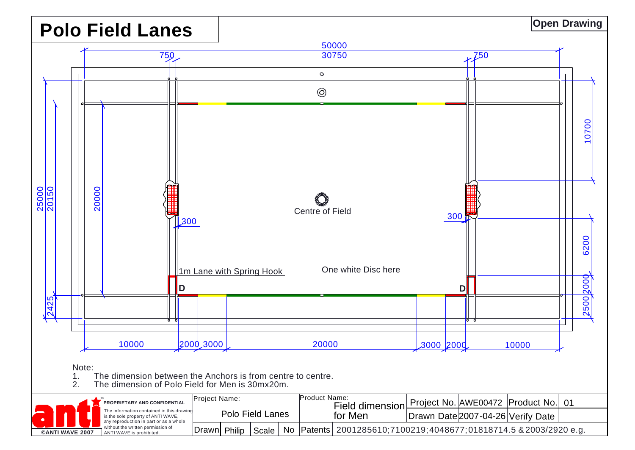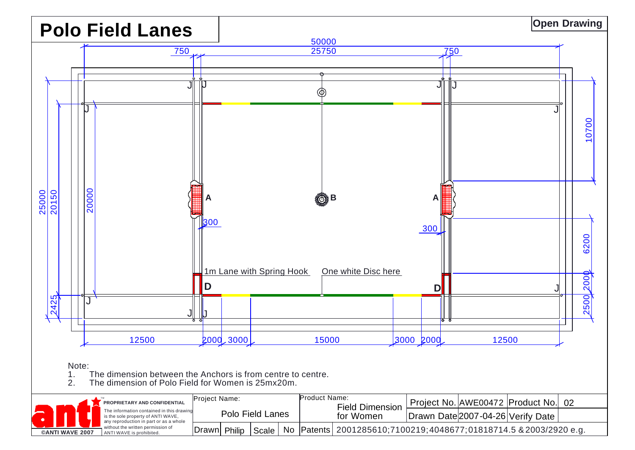